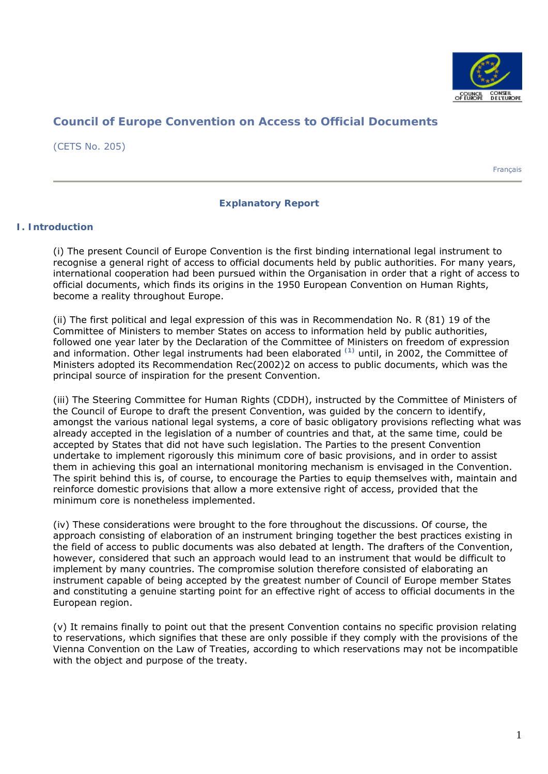

# **Council of Europe Convention on Access to Official Documents**

(CETS No. 205)

Français

### **Explanatory Report**

### **I. Introduction**

(i) The present Council of Europe Convention is the first binding international legal instrument to recognise a general right of access to official documents held by public authorities. For many years, international cooperation had been pursued within the Organisation in order that a right of access to official documents, which finds its origins in the 1950 European Convention on Human Rights, become a reality throughout Europe.

(ii) The first political and legal expression of this was in Recommendation No. R (81) 19 of the Committee of Ministers to member States on access to information held by public authorities, followed one year later by the Declaration of the Committee of Ministers on freedom of expression and information. Other legal instruments had been elaborated **(1)** until, in 2002, the Committee of Ministers adopted its Recommendation Rec(2002)2 on access to public documents, which was the principal source of inspiration for the present Convention.

(iii) The Steering Committee for Human Rights (CDDH), instructed by the Committee of Ministers of the Council of Europe to draft the present Convention, was guided by the concern to identify, amongst the various national legal systems, a core of basic obligatory provisions reflecting what was already accepted in the legislation of a number of countries and that, at the same time, could be accepted by States that did not have such legislation. The Parties to the present Convention undertake to implement rigorously this minimum core of basic provisions, and in order to assist them in achieving this goal an international monitoring mechanism is envisaged in the Convention. The spirit behind this is, of course, to encourage the Parties to equip themselves with, maintain and reinforce domestic provisions that allow a more extensive right of access, provided that the minimum core is nonetheless implemented.

(iv) These considerations were brought to the fore throughout the discussions. Of course, the approach consisting of elaboration of an instrument bringing together the best practices existing in the field of access to public documents was also debated at length. The drafters of the Convention, however, considered that such an approach would lead to an instrument that would be difficult to implement by many countries. The compromise solution therefore consisted of elaborating an instrument capable of being accepted by the greatest number of Council of Europe member States and constituting a genuine starting point for an effective right of access to official documents in the European region.

(v) It remains finally to point out that the present Convention contains no specific provision relating to reservations, which signifies that these are only possible if they comply with the provisions of the Vienna Convention on the Law of Treaties, according to which reservations may not be incompatible with the object and purpose of the treaty.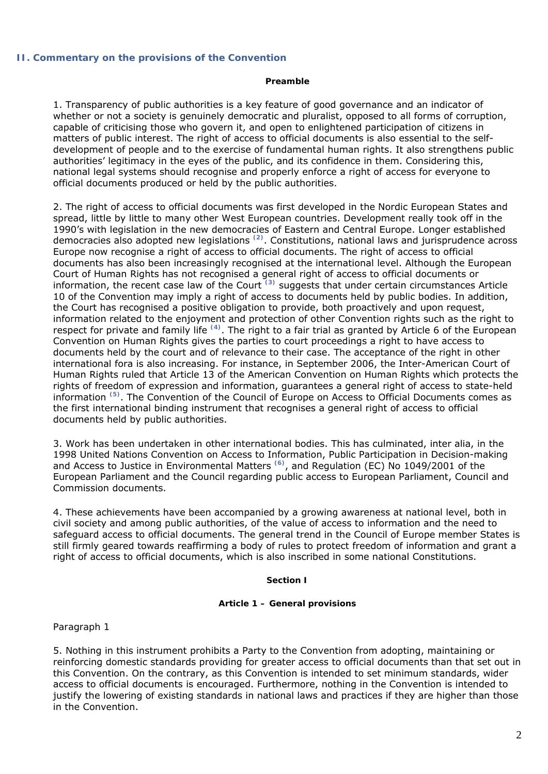### **II. Commentary on the provisions of the Convention**

#### **Preamble**

1. Transparency of public authorities is a key feature of good governance and an indicator of whether or not a society is genuinely democratic and pluralist, opposed to all forms of corruption, capable of criticising those who govern it, and open to enlightened participation of citizens in matters of public interest. The right of access to official documents is also essential to the selfdevelopment of people and to the exercise of fundamental human rights. It also strengthens public authorities' legitimacy in the eyes of the public, and its confidence in them. Considering this, national legal systems should recognise and properly enforce a right of access for everyone to official documents produced or held by the public authorities.

2. The right of access to official documents was first developed in the Nordic European States and spread, little by little to many other West European countries. Development really took off in the 1990's with legislation in the new democracies of Eastern and Central Europe. Longer established democracies also adopted new legislations **(2)**. Constitutions, national laws and jurisprudence across Europe now recognise a right of access to official documents. The right of access to official documents has also been increasingly recognised at the international level. Although the European Court of Human Rights has not recognised a general right of access to official documents or information, the recent case law of the Court **(3)** suggests that under certain circumstances Article 10 of the Convention may imply a right of access to documents held by public bodies. In addition, the Court has recognised a positive obligation to provide, both proactively and upon request, information related to the enjoyment and protection of other Convention rights such as the right to respect for private and family life **(4)**. The right to a fair trial as granted by Article 6 of the European Convention on Human Rights gives the parties to court proceedings a right to have access to documents held by the court and of relevance to their case. The acceptance of the right in other international fora is also increasing. For instance, in September 2006, the Inter-American Court of Human Rights ruled that Article 13 of the American Convention on Human Rights which protects the rights of freedom of expression and information, guarantees a general right of access to state-held information **(5)**. The Convention of the Council of Europe on Access to Official Documents comes as the first international binding instrument that recognises a general right of access to official documents held by public authorities.

3. Work has been undertaken in other international bodies. This has culminated, inter alia, in the 1998 United Nations Convention on Access to Information, Public Participation in Decision-making and Access to Justice in Environmental Matters **(6)**, and Regulation (EC) No 1049/2001 of the European Parliament and the Council regarding public access to European Parliament, Council and Commission documents.

4. These achievements have been accompanied by a growing awareness at national level, both in civil society and among public authorities, of the value of access to information and the need to safeguard access to official documents. The general trend in the Council of Europe member States is still firmly geared towards reaffirming a body of rules to protect freedom of information and grant a right of access to official documents, which is also inscribed in some national Constitutions.

### **Section I**

#### **Article 1 – General provisions**

*Paragraph 1*

5. Nothing in this instrument prohibits a Party to the Convention from adopting, maintaining or reinforcing domestic standards providing for greater access to official documents than that set out in this Convention. On the contrary, as this Convention is intended to set minimum standards, wider access to official documents is encouraged. Furthermore, nothing in the Convention is intended to justify the lowering of existing standards in national laws and practices if they are higher than those in the Convention.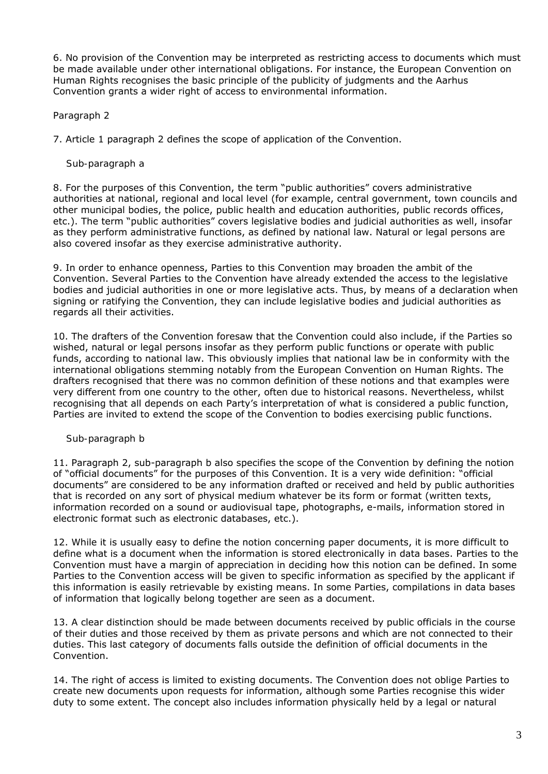6. No provision of the Convention may be interpreted as restricting access to documents which must be made available under other international obligations. For instance, the European Convention on Human Rights recognises the basic principle of the publicity of judgments and the Aarhus Convention grants a wider right of access to environmental information.

# *Paragraph 2*

7. Article 1 paragraph 2 defines the scope of application of the Convention.

# *Sub-paragraph a*

8. For the purposes of this Convention, the term "public authorities" covers administrative authorities at national, regional and local level (for example, central government, town councils and other municipal bodies, the police, public health and education authorities, public records offices, etc.). The term "public authorities" covers legislative bodies and judicial authorities as well, insofar as they perform administrative functions, as defined by national law. Natural or legal persons are also covered insofar as they exercise administrative authority.

9. In order to enhance openness, Parties to this Convention may broaden the ambit of the Convention. Several Parties to the Convention have already extended the access to the legislative bodies and judicial authorities in one or more legislative acts. Thus, by means of a declaration when signing or ratifying the Convention, they can include legislative bodies and judicial authorities as regards all their activities.

10. The drafters of the Convention foresaw that the Convention could also include, if the Parties so wished, natural or legal persons insofar as they perform public functions or operate with public funds, according to national law. This obviously implies that national law be in conformity with the international obligations stemming notably from the European Convention on Human Rights. The drafters recognised that there was no common definition of these notions and that examples were very different from one country to the other, often due to historical reasons. Nevertheless, whilst recognising that all depends on each Party's interpretation of what is considered a public function, Parties are invited to extend the scope of the Convention to bodies exercising public functions.

# *Sub-paragraph b*

11. Paragraph 2, sub-paragraph b also specifies the scope of the Convention by defining the notion of "official documents" for the purposes of this Convention. It is a very wide definition: "official documents" are considered to be any information drafted or received and held by public authorities that is recorded on any sort of physical medium whatever be its form or format (written texts, information recorded on a sound or audiovisual tape, photographs, e-mails, information stored in electronic format such as electronic databases, etc.).

12. While it is usually easy to define the notion concerning paper documents, it is more difficult to define what is a document when the information is stored electronically in data bases. Parties to the Convention must have a margin of appreciation in deciding how this notion can be defined. In some Parties to the Convention access will be given to specific information as specified by the applicant if this information is easily retrievable by existing means. In some Parties, compilations in data bases of information that logically belong together are seen as a document.

13. A clear distinction should be made between documents received by public officials in the course of their duties and those received by them as private persons and which are not connected to their duties. This last category of documents falls outside the definition of official documents in the Convention.

14. The right of access is limited to existing documents. The Convention does not oblige Parties to create new documents upon requests for information, although some Parties recognise this wider duty to some extent. The concept also includes information physically held by a legal or natural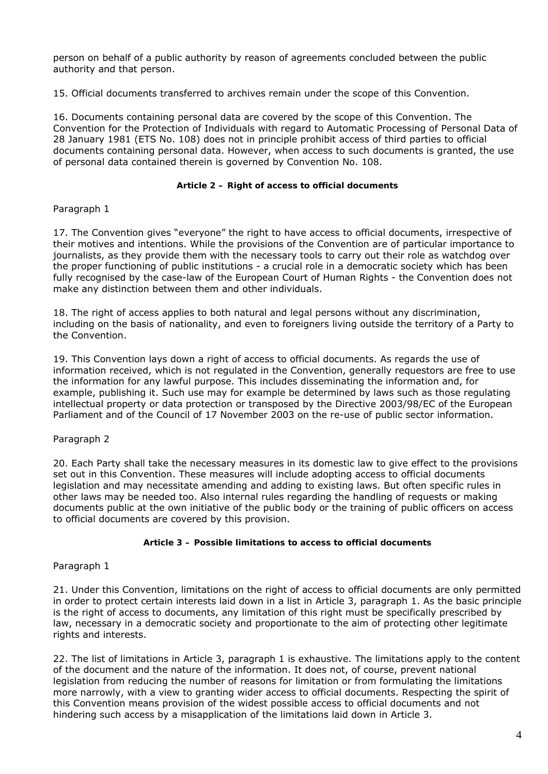person on behalf of a public authority by reason of agreements concluded between the public authority and that person.

15. Official documents transferred to archives remain under the scope of this Convention.

16. Documents containing personal data are covered by the scope of this Convention. The Convention for the Protection of Individuals with regard to Automatic Processing of Personal Data of 28 January 1981 (ETS No. 108) does not in principle prohibit access of third parties to official documents containing personal data. However, when access to such documents is granted, the use of personal data contained therein is governed by Convention No. 108.

### **Article 2 – Right of access to official documents**

### *Paragraph 1*

17. The Convention gives "everyone" the right to have access to official documents, irrespective of their motives and intentions. While the provisions of the Convention are of particular importance to journalists, as they provide them with the necessary tools to carry out their role as watchdog over the proper functioning of public institutions - a crucial role in a democratic society which has been fully recognised by the case-law of the European Court of Human Rights - the Convention does not make any distinction between them and other individuals.

18. The right of access applies to both natural and legal persons without any discrimination, including on the basis of nationality, and even to foreigners living outside the territory of a Party to the Convention.

19. This Convention lays down a right of access to official documents. As regards the use of information received, which is not regulated in the Convention, generally requestors are free to use the information for any lawful purpose. This includes disseminating the information and, for example, publishing it. Such use may for example be determined by laws such as those regulating intellectual property or data protection or transposed by the Directive 2003/98/EC of the European Parliament and of the Council of 17 November 2003 on the re-use of public sector information.

# *Paragraph 2*

20. Each Party shall take the necessary measures in its domestic law to give effect to the provisions set out in this Convention. These measures will include adopting access to official documents legislation and may necessitate amending and adding to existing laws. But often specific rules in other laws may be needed too. Also internal rules regarding the handling of requests or making documents public at the own initiative of the public body or the training of public officers on access to official documents are covered by this provision.

### **Article 3 – Possible limitations to access to official documents**

# *Paragraph 1*

21. Under this Convention, limitations on the right of access to official documents are only permitted in order to protect certain interests laid down in a list in Article 3, paragraph 1. As the basic principle is the right of access to documents, any limitation of this right must be specifically prescribed by law, necessary in a democratic society and proportionate to the aim of protecting other legitimate rights and interests.

22. The list of limitations in Article 3, paragraph 1 is exhaustive. The limitations apply to the content of the document and the nature of the information. It does not, of course, prevent national legislation from reducing the number of reasons for limitation or from formulating the limitations more narrowly, with a view to granting wider access to official documents. Respecting the spirit of this Convention means provision of the widest possible access to official documents and not hindering such access by a misapplication of the limitations laid down in Article 3.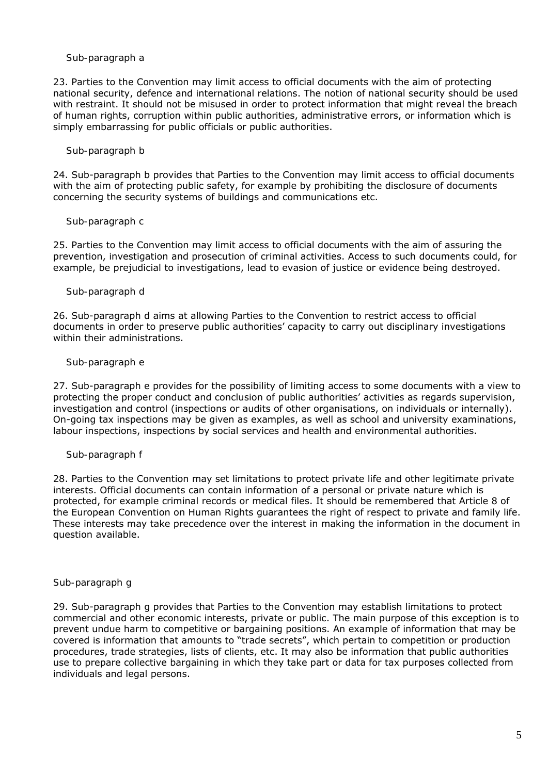### *Sub-paragraph a*

23. Parties to the Convention may limit access to official documents with the aim of protecting national security, defence and international relations. The notion of national security should be used with restraint. It should not be misused in order to protect information that might reveal the breach of human rights, corruption within public authorities, administrative errors, or information which is simply embarrassing for public officials or public authorities.

### *Sub-paragraph b*

24. Sub-paragraph b provides that Parties to the Convention may limit access to official documents with the aim of protecting public safety, for example by prohibiting the disclosure of documents concerning the security systems of buildings and communications etc.

### *Sub-paragraph c*

25. Parties to the Convention may limit access to official documents with the aim of assuring the prevention, investigation and prosecution of criminal activities. Access to such documents could, for example, be prejudicial to investigations, lead to evasion of justice or evidence being destroyed.

### *Sub-paragraph d*

26. Sub-paragraph d aims at allowing Parties to the Convention to restrict access to official documents in order to preserve public authorities' capacity to carry out disciplinary investigations within their administrations.

### *Sub-paragraph e*

27. Sub-paragraph e provides for the possibility of limiting access to some documents with a view to protecting the proper conduct and conclusion of public authorities' activities as regards supervision, investigation and control (inspections or audits of other organisations, on individuals or internally). On-going tax inspections may be given as examples, as well as school and university examinations, labour inspections, inspections by social services and health and environmental authorities.

### *Sub-paragraph f*

28. Parties to the Convention may set limitations to protect private life and other legitimate private interests. Official documents can contain information of a personal or private nature which is protected, for example criminal records or medical files. It should be remembered that Article 8 of the European Convention on Human Rights guarantees the right of respect to private and family life. These interests may take precedence over the interest in making the information in the document in question available.

### *Sub-paragraph g*

29. Sub-paragraph g provides that Parties to the Convention may establish limitations to protect commercial and other economic interests, private or public. The main purpose of this exception is to prevent undue harm to competitive or bargaining positions. An example of information that may be covered is information that amounts to "trade secrets", which pertain to competition or production procedures, trade strategies, lists of clients, etc. It may also be information that public authorities use to prepare collective bargaining in which they take part or data for tax purposes collected from individuals and legal persons.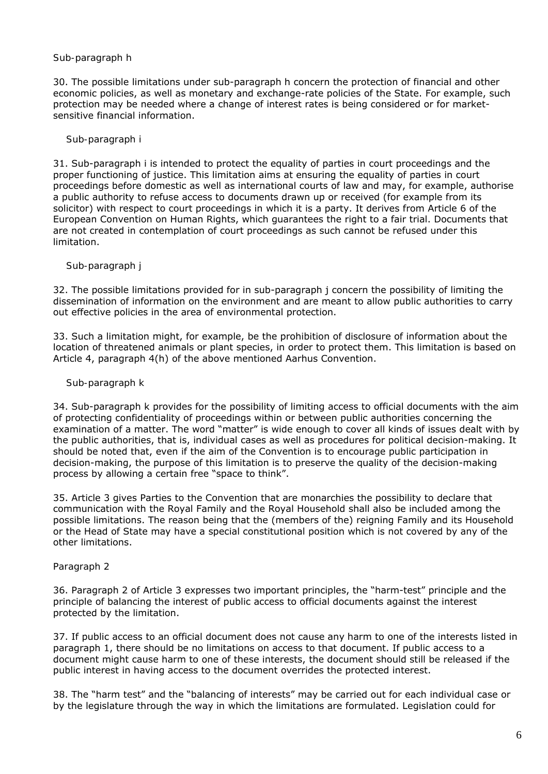## *Sub-paragraph h*

30. The possible limitations under sub-paragraph h concern the protection of financial and other economic policies, as well as monetary and exchange-rate policies of the State. For example, such protection may be needed where a change of interest rates is being considered or for marketsensitive financial information.

## *Sub-paragraph i*

31. Sub-paragraph i is intended to protect the equality of parties in court proceedings and the proper functioning of justice. This limitation aims at ensuring the equality of parties in court proceedings before domestic as well as international courts of law and may, for example, authorise a public authority to refuse access to documents drawn up or received (for example from its solicitor) with respect to court proceedings in which it is a party. It derives from Article 6 of the European Convention on Human Rights, which guarantees the right to a fair trial. Documents that are not created in contemplation of court proceedings as such cannot be refused under this limitation.

### *Sub-paragraph j*

32. The possible limitations provided for in sub-paragraph j concern the possibility of limiting the dissemination of information on the environment and are meant to allow public authorities to carry out effective policies in the area of environmental protection.

33. Such a limitation might, for example, be the prohibition of disclosure of information about the location of threatened animals or plant species, in order to protect them. This limitation is based on Article 4, paragraph 4(h) of the above mentioned Aarhus Convention.

### *Sub-paragraph k*

34. Sub-paragraph k provides for the possibility of limiting access to official documents with the aim of protecting confidentiality of proceedings within or between public authorities concerning the examination of a matter. The word "matter" is wide enough to cover all kinds of issues dealt with by the public authorities, that is, individual cases as well as procedures for political decision-making. It should be noted that, even if the aim of the Convention is to encourage public participation in decision-making, the purpose of this limitation is to preserve the quality of the decision-making process by allowing a certain free "space to think".

35. Article 3 gives Parties to the Convention that are monarchies the possibility to declare that communication with the Royal Family and the Royal Household shall also be included among the possible limitations. The reason being that the (members of the) reigning Family and its Household or the Head of State may have a special constitutional position which is not covered by any of the other limitations.

# *Paragraph 2*

36. Paragraph 2 of Article 3 expresses two important principles, the "harm-test" principle and the principle of balancing the interest of public access to official documents against the interest protected by the limitation.

37. If public access to an official document does not cause any harm to one of the interests listed in paragraph 1, there should be no limitations on access to that document. If public access to a document might cause harm to one of these interests, the document should still be released if the public interest in having access to the document overrides the protected interest.

38. The "harm test" and the "balancing of interests" may be carried out for each individual case or by the legislature through the way in which the limitations are formulated. Legislation could for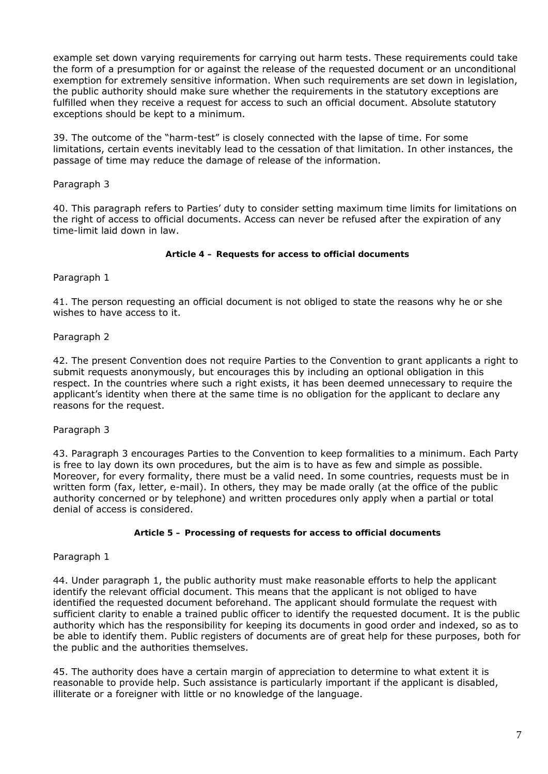example set down varying requirements for carrying out harm tests. These requirements could take the form of a presumption for or against the release of the requested document or an unconditional exemption for extremely sensitive information. When such requirements are set down in legislation, the public authority should make sure whether the requirements in the statutory exceptions are fulfilled when they receive a request for access to such an official document. Absolute statutory exceptions should be kept to a minimum.

39. The outcome of the "harm-test" is closely connected with the lapse of time. For some limitations, certain events inevitably lead to the cessation of that limitation. In other instances, the passage of time may reduce the damage of release of the information.

# *Paragraph 3*

40. This paragraph refers to Parties' duty to consider setting maximum time limits for limitations on the right of access to official documents. Access can never be refused after the expiration of any time-limit laid down in law.

### **Article 4 – Requests for access to official documents**

# *Paragraph 1*

41. The person requesting an official document is not obliged to state the reasons why he or she wishes to have access to it.

# *Paragraph 2*

42. The present Convention does not require Parties to the Convention to grant applicants a right to submit requests anonymously, but encourages this by including an optional obligation in this respect. In the countries where such a right exists, it has been deemed unnecessary to require the applicant's identity when there at the same time is no obligation for the applicant to declare any reasons for the request.

# *Paragraph 3*

43. Paragraph 3 encourages Parties to the Convention to keep formalities to a minimum. Each Party is free to lay down its own procedures, but the aim is to have as few and simple as possible. Moreover, for every formality, there must be a valid need. In some countries, requests must be in written form (fax, letter, e-mail). In others, they may be made orally (at the office of the public authority concerned or by telephone) and written procedures only apply when a partial or total denial of access is considered.

### **Article 5 – Processing of requests for access to official documents**

# *Paragraph 1*

44. Under paragraph 1, the public authority must make reasonable efforts to help the applicant identify the relevant official document. This means that the applicant is not obliged to have identified the requested document beforehand. The applicant should formulate the request with sufficient clarity to enable a trained public officer to identify the requested document. It is the public authority which has the responsibility for keeping its documents in good order and indexed, so as to be able to identify them. Public registers of documents are of great help for these purposes, both for the public and the authorities themselves.

45. The authority does have a certain margin of appreciation to determine to what extent it is reasonable to provide help. Such assistance is particularly important if the applicant is disabled, illiterate or a foreigner with little or no knowledge of the language.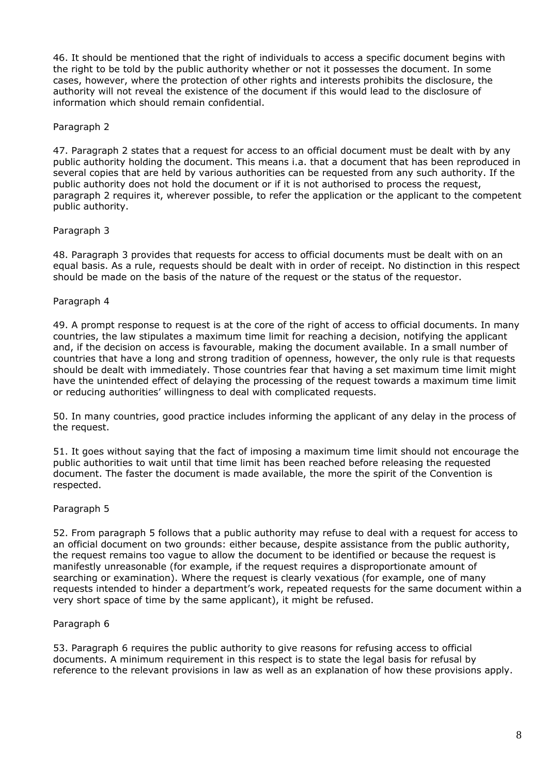46. It should be mentioned that the right of individuals to access a specific document begins with the right to be told by the public authority whether or not it possesses the document. In some cases, however, where the protection of other rights and interests prohibits the disclosure, the authority will not reveal the existence of the document if this would lead to the disclosure of information which should remain confidential.

## *Paragraph 2*

47. Paragraph 2 states that a request for access to an official document must be dealt with by any public authority holding the document. This means i.a. that a document that has been reproduced in several copies that are held by various authorities can be requested from any such authority. If the public authority does not hold the document or if it is not authorised to process the request, paragraph 2 requires it, wherever possible, to refer the application or the applicant to the competent public authority.

# *Paragraph 3*

48. Paragraph 3 provides that requests for access to official documents must be dealt with on an equal basis. As a rule, requests should be dealt with in order of receipt. No distinction in this respect should be made on the basis of the nature of the request or the status of the requestor.

# *Paragraph 4*

49. A prompt response to request is at the core of the right of access to official documents. In many countries, the law stipulates a maximum time limit for reaching a decision, notifying the applicant and, if the decision on access is favourable, making the document available. In a small number of countries that have a long and strong tradition of openness, however, the only rule is that requests should be dealt with immediately. Those countries fear that having a set maximum time limit might have the unintended effect of delaying the processing of the request towards a maximum time limit or reducing authorities' willingness to deal with complicated requests.

50. In many countries, good practice includes informing the applicant of any delay in the process of the request.

51. It goes without saying that the fact of imposing a maximum time limit should not encourage the public authorities to wait until that time limit has been reached before releasing the requested document. The faster the document is made available, the more the spirit of the Convention is respected.

# *Paragraph 5*

52. From paragraph 5 follows that a public authority may refuse to deal with a request for access to an official document on two grounds: either because, despite assistance from the public authority, the request remains too vague to allow the document to be identified or because the request is manifestly unreasonable (for example, if the request requires a disproportionate amount of searching or examination). Where the request is clearly vexatious (for example, one of many requests intended to hinder a department's work, repeated requests for the same document within a very short space of time by the same applicant), it might be refused.

# *Paragraph 6*

53. Paragraph 6 requires the public authority to give reasons for refusing access to official documents. A minimum requirement in this respect is to state the legal basis for refusal by reference to the relevant provisions in law as well as an explanation of how these provisions apply.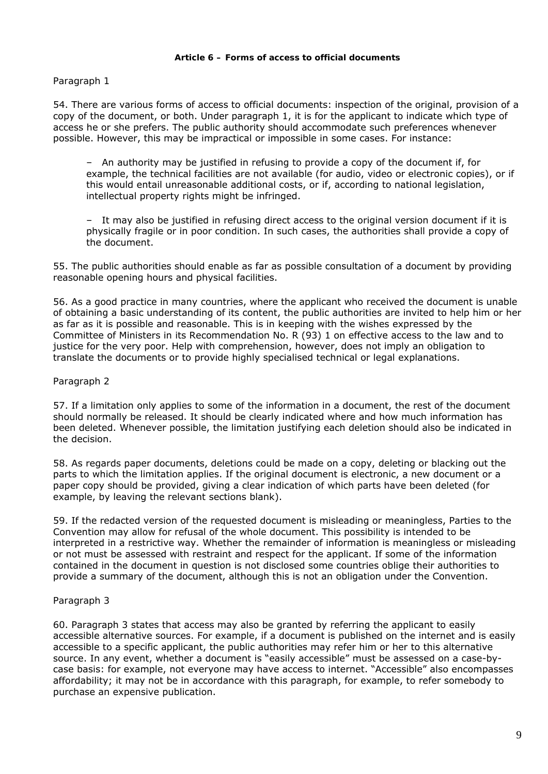#### **Article 6 – Forms of access to official documents**

### *Paragraph 1*

54. There are various forms of access to official documents: inspection of the original, provision of a copy of the document, or both. Under paragraph 1, it is for the applicant to indicate which type of access he or she prefers. The public authority should accommodate such preferences whenever possible. However, this may be impractical or impossible in some cases. For instance:

– An authority may be justified in refusing to provide a copy of the document if, for example, the technical facilities are not available (for audio, video or electronic copies), or if this would entail unreasonable additional costs, or if, according to national legislation, intellectual property rights might be infringed.

– It may also be justified in refusing direct access to the original version document if it is physically fragile or in poor condition. In such cases, the authorities shall provide a copy of the document.

55. The public authorities should enable as far as possible consultation of a document by providing reasonable opening hours and physical facilities.

56. As a good practice in many countries, where the applicant who received the document is unable of obtaining a basic understanding of its content, the public authorities are invited to help him or her as far as it is possible and reasonable. This is in keeping with the wishes expressed by the Committee of Ministers in its Recommendation No. R (93) 1 on effective access to the law and to justice for the very poor. Help with comprehension, however, does not imply an obligation to translate the documents or to provide highly specialised technical or legal explanations.

# *Paragraph 2*

57. If a limitation only applies to some of the information in a document, the rest of the document should normally be released. It should be clearly indicated where and how much information has been deleted. Whenever possible, the limitation justifying each deletion should also be indicated in the decision.

58. As regards paper documents, deletions could be made on a copy, deleting or blacking out the parts to which the limitation applies. If the original document is electronic, a new document or a paper copy should be provided, giving a clear indication of which parts have been deleted (for example, by leaving the relevant sections blank).

59. If the redacted version of the requested document is misleading or meaningless, Parties to the Convention may allow for refusal of the whole document. This possibility is intended to be interpreted in a restrictive way. Whether the remainder of information is meaningless or misleading or not must be assessed with restraint and respect for the applicant. If some of the information contained in the document in question is not disclosed some countries oblige their authorities to provide a summary of the document, although this is not an obligation under the Convention.

### *Paragraph 3*

60. Paragraph 3 states that access may also be granted by referring the applicant to easily accessible alternative sources. For example, if a document is published on the internet and is easily accessible to a specific applicant, the public authorities may refer him or her to this alternative source. In any event, whether a document is "easily accessible" must be assessed on a case-bycase basis: for example, not everyone may have access to internet. "Accessible" also encompasses affordability; it may not be in accordance with this paragraph, for example, to refer somebody to purchase an expensive publication.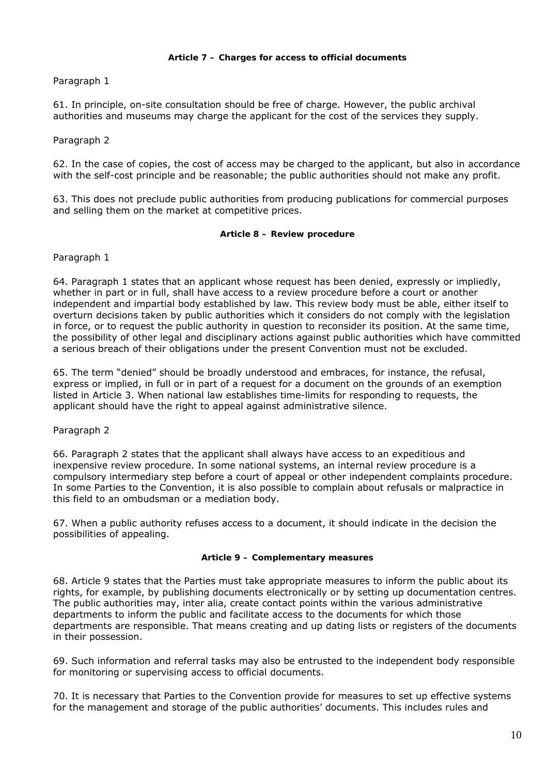#### **Article 7 – Charges for access to official documents**

# *Paragraph 1*

61. In principle, on-site consultation should be free of charge. However, the public archival authorities and museums may charge the applicant for the cost of the services they supply.

### *Paragraph 2*

62. In the case of copies, the cost of access may be charged to the applicant, but also in accordance with the self-cost principle and be reasonable; the public authorities should not make any profit.

63. This does not preclude public authorities from producing publications for commercial purposes and selling them on the market at competitive prices.

#### **Article 8 – Review procedure**

*Paragraph 1* 

64. Paragraph 1 states that an applicant whose request has been denied, expressly or impliedly, whether in part or in full, shall have access to a review procedure before a court or another independent and impartial body established by law. This review body must be able, either itself to overturn decisions taken by public authorities which it considers do not comply with the legislation in force, or to request the public authority in question to reconsider its position. At the same time, the possibility of other legal and disciplinary actions against public authorities which have committed a serious breach of their obligations under the present Convention must not be excluded.

65. The term "denied" should be broadly understood and embraces, for instance, the refusal, express or implied, in full or in part of a request for a document on the grounds of an exemption listed in Article 3. When national law establishes time-limits for responding to requests, the applicant should have the right to appeal against administrative silence.

### *Paragraph 2*

66. Paragraph 2 states that the applicant shall always have access to an expeditious and inexpensive review procedure. In some national systems, an internal review procedure is a compulsory intermediary step before a court of appeal or other independent complaints procedure. In some Parties to the Convention, it is also possible to complain about refusals or malpractice in this field to an ombudsman or a mediation body.

67. When a public authority refuses access to a document, it should indicate in the decision the possibilities of appealing.

### **Article 9 – Complementary measures**

68. Article 9 states that the Parties must take appropriate measures to inform the public about its rights, for example, by publishing documents electronically or by setting up documentation centres. The public authorities may, inter alia, create contact points within the various administrative departments to inform the public and facilitate access to the documents for which those departments are responsible. That means creating and up dating lists or registers of the documents in their possession.

69. Such information and referral tasks may also be entrusted to the independent body responsible for monitoring or supervising access to official documents.

70. It is necessary that Parties to the Convention provide for measures to set up effective systems for the management and storage of the public authorities' documents. This includes rules and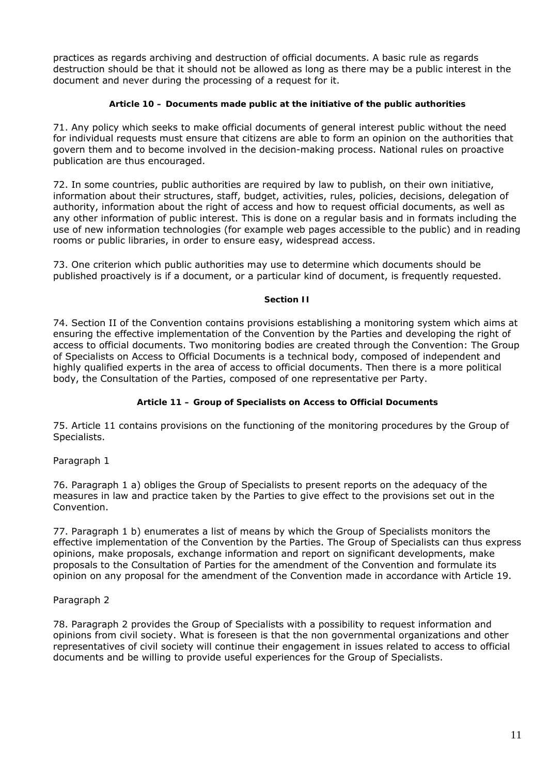practices as regards archiving and destruction of official documents. A basic rule as regards destruction should be that it should not be allowed as long as there may be a public interest in the document and never during the processing of a request for it.

### **Article 10 – Documents made public at the initiative of the public authorities**

71. Any policy which seeks to make official documents of general interest public without the need for individual requests must ensure that citizens are able to form an opinion on the authorities that govern them and to become involved in the decision-making process. National rules on proactive publication are thus encouraged.

72. In some countries, public authorities are required by law to publish, on their own initiative, information about their structures, staff, budget, activities, rules, policies, decisions, delegation of authority, information about the right of access and how to request official documents, as well as any other information of public interest. This is done on a regular basis and in formats including the use of new information technologies (for example web pages accessible to the public) and in reading rooms or public libraries, in order to ensure easy, widespread access.

73. One criterion which public authorities may use to determine which documents should be published proactively is if a document, or a particular kind of document, is frequently requested.

### **Section II**

74. Section II of the Convention contains provisions establishing a monitoring system which aims at ensuring the effective implementation of the Convention by the Parties and developing the right of access to official documents. Two monitoring bodies are created through the Convention: The Group of Specialists on Access to Official Documents is a technical body, composed of independent and highly qualified experts in the area of access to official documents. Then there is a more political body, the Consultation of the Parties, composed of one representative per Party.

# **Article 11 – Group of Specialists on Access to Official Documents**

75. Article 11 contains provisions on the functioning of the monitoring procedures by the Group of Specialists.

# *Paragraph 1*

76. Paragraph 1 a) obliges the Group of Specialists to present reports on the adequacy of the measures in law and practice taken by the Parties to give effect to the provisions set out in the Convention.

77. Paragraph 1 b) enumerates a list of means by which the Group of Specialists monitors the effective implementation of the Convention by the Parties. The Group of Specialists can thus express opinions, make proposals, exchange information and report on significant developments, make proposals to the Consultation of Parties for the amendment of the Convention and formulate its opinion on any proposal for the amendment of the Convention made in accordance with Article 19.

# *Paragraph 2*

78. Paragraph 2 provides the Group of Specialists with a possibility to request information and opinions from civil society. What is foreseen is that the non governmental organizations and other representatives of civil society will continue their engagement in issues related to access to official documents and be willing to provide useful experiences for the Group of Specialists.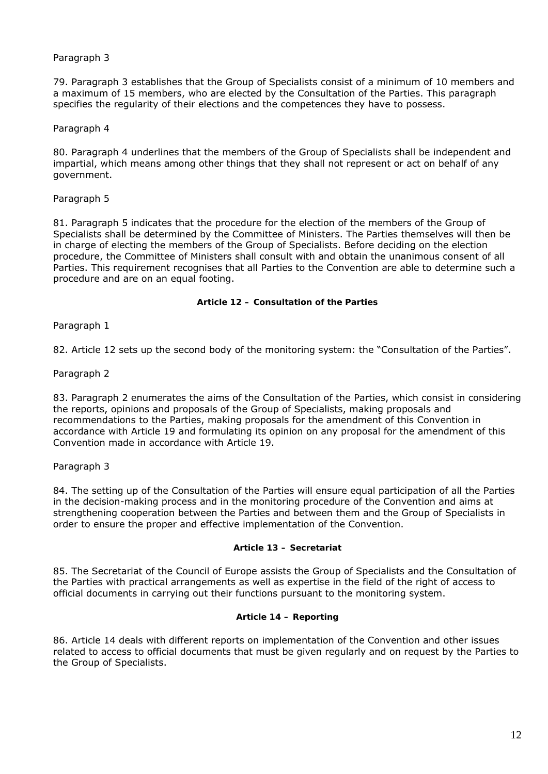## *Paragraph 3*

79. Paragraph 3 establishes that the Group of Specialists consist of a minimum of 10 members and a maximum of 15 members, who are elected by the Consultation of the Parties. This paragraph specifies the regularity of their elections and the competences they have to possess.

### *Paragraph 4*

80. Paragraph 4 underlines that the members of the Group of Specialists shall be independent and impartial, which means among other things that they shall not represent or act on behalf of any government.

## *Paragraph 5*

81. Paragraph 5 indicates that the procedure for the election of the members of the Group of Specialists shall be determined by the Committee of Ministers. The Parties themselves will then be in charge of electing the members of the Group of Specialists. Before deciding on the election procedure, the Committee of Ministers shall consult with and obtain the unanimous consent of all Parties. This requirement recognises that all Parties to the Convention are able to determine such a procedure and are on an equal footing.

### **Article 12 – Consultation of the Parties**

### *Paragraph 1*

82. Article 12 sets up the second body of the monitoring system: the "Consultation of the Parties".

### *Paragraph 2*

83. Paragraph 2 enumerates the aims of the Consultation of the Parties, which consist in considering the reports, opinions and proposals of the Group of Specialists, making proposals and recommendations to the Parties, making proposals for the amendment of this Convention in accordance with Article 19 and formulating its opinion on any proposal for the amendment of this Convention made in accordance with Article 19.

# *Paragraph 3*

84. The setting up of the Consultation of the Parties will ensure equal participation of all the Parties in the decision-making process and in the monitoring procedure of the Convention and aims at strengthening cooperation between the Parties and between them and the Group of Specialists in order to ensure the proper and effective implementation of the Convention.

## **Article 13 – Secretariat**

85. The Secretariat of the Council of Europe assists the Group of Specialists and the Consultation of the Parties with practical arrangements as well as expertise in the field of the right of access to official documents in carrying out their functions pursuant to the monitoring system.

### **Article 14 – Reporting**

86. Article 14 deals with different reports on implementation of the Convention and other issues related to access to official documents that must be given regularly and on request by the Parties to the Group of Specialists.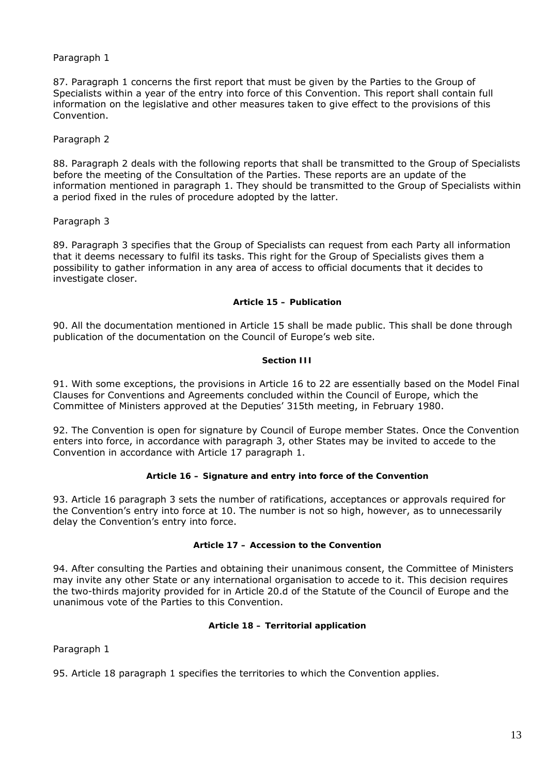### *Paragraph 1*

87. Paragraph 1 concerns the first report that must be given by the Parties to the Group of Specialists within a year of the entry into force of this Convention. This report shall contain full information on the legislative and other measures taken to give effect to the provisions of this Convention.

### *Paragraph 2*

88. Paragraph 2 deals with the following reports that shall be transmitted to the Group of Specialists before the meeting of the Consultation of the Parties. These reports are an update of the information mentioned in paragraph 1. They should be transmitted to the Group of Specialists within a period fixed in the rules of procedure adopted by the latter.

### *Paragraph 3*

89. Paragraph 3 specifies that the Group of Specialists can request from each Party all information that it deems necessary to fulfil its tasks. This right for the Group of Specialists gives them a possibility to gather information in any area of access to official documents that it decides to investigate closer.

#### **Article 15 – Publication**

90. All the documentation mentioned in Article 15 shall be made public. This shall be done through publication of the documentation on the Council of Europe's web site.

#### **Section III**

91. With some exceptions, the provisions in Article 16 to 22 are essentially based on the Model Final Clauses for Conventions and Agreements concluded within the Council of Europe, which the Committee of Ministers approved at the Deputies' 315th meeting, in February 1980.

92. The Convention is open for signature by Council of Europe member States. Once the Convention enters into force, in accordance with paragraph 3, other States may be invited to accede to the Convention in accordance with Article 17 paragraph 1.

### **Article 16 – Signature and entry into force of the Convention**

93. Article 16 paragraph 3 sets the number of ratifications, acceptances or approvals required for the Convention's entry into force at 10. The number is not so high, however, as to unnecessarily delay the Convention's entry into force.

### **Article 17 – Accession to the Convention**

94. After consulting the Parties and obtaining their unanimous consent, the Committee of Ministers may invite any other State or any international organisation to accede to it. This decision requires the two-thirds majority provided for in Article 20.d of the Statute of the Council of Europe and the unanimous vote of the Parties to this Convention.

### **Article 18 – Territorial application**

*Paragraph 1* 

95. Article 18 paragraph 1 specifies the territories to which the Convention applies.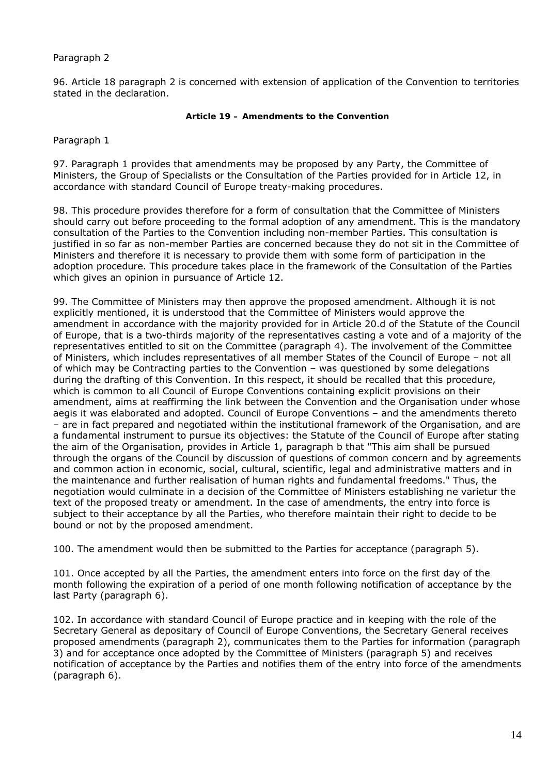## *Paragraph 2*

96. Article 18 paragraph 2 is concerned with extension of application of the Convention to territories stated in the declaration.

#### **Article 19 – Amendments to the Convention**

#### *Paragraph 1*

97. Paragraph 1 provides that amendments may be proposed by any Party, the Committee of Ministers, the Group of Specialists or the Consultation of the Parties provided for in Article 12, in accordance with standard Council of Europe treaty-making procedures.

98. This procedure provides therefore for a form of consultation that the Committee of Ministers should carry out before proceeding to the formal adoption of any amendment. This is the mandatory consultation of the Parties to the Convention including non-member Parties. This consultation is justified in so far as non-member Parties are concerned because they do not sit in the Committee of Ministers and therefore it is necessary to provide them with some form of participation in the adoption procedure. This procedure takes place in the framework of the Consultation of the Parties which gives an opinion in pursuance of Article 12.

99. The Committee of Ministers may then approve the proposed amendment. Although it is not explicitly mentioned, it is understood that the Committee of Ministers would approve the amendment in accordance with the majority provided for in Article 20.d of the Statute of the Council of Europe, that is a two-thirds majority of the representatives casting a vote and of a majority of the representatives entitled to sit on the Committee (paragraph 4). The involvement of the Committee of Ministers, which includes representatives of all member States of the Council of Europe – not all of which may be Contracting parties to the Convention – was questioned by some delegations during the drafting of this Convention. In this respect, it should be recalled that this procedure, which is common to all Council of Europe Conventions containing explicit provisions on their amendment, aims at reaffirming the link between the Convention and the Organisation under whose aegis it was elaborated and adopted. Council of Europe Conventions – and the amendments thereto – are in fact prepared and negotiated within the institutional framework of the Organisation, and are a fundamental instrument to pursue its objectives: the Statute of the Council of Europe after stating the aim of the Organisation, provides in Article 1, paragraph b that "This aim shall be pursued through the organs of the Council by discussion of questions of common concern and by agreements and common action in economic, social, cultural, scientific, legal and administrative matters and in the maintenance and further realisation of human rights and fundamental freedoms." Thus, the negotiation would culminate in a decision of the Committee of Ministers establishing *ne varietur* the text of the proposed treaty or amendment. In the case of amendments, the entry into force is subject to their acceptance by all the Parties, who therefore maintain their right to decide to be bound or not by the proposed amendment.

100. The amendment would then be submitted to the Parties for acceptance (paragraph 5).

101. Once accepted by all the Parties, the amendment enters into force on the first day of the month following the expiration of a period of one month following notification of acceptance by the last Party (paragraph 6).

102. In accordance with standard Council of Europe practice and in keeping with the role of the Secretary General as depositary of Council of Europe Conventions, the Secretary General receives proposed amendments (paragraph 2), communicates them to the Parties for information (paragraph 3) and for acceptance once adopted by the Committee of Ministers (paragraph 5) and receives notification of acceptance by the Parties and notifies them of the entry into force of the amendments (paragraph 6).